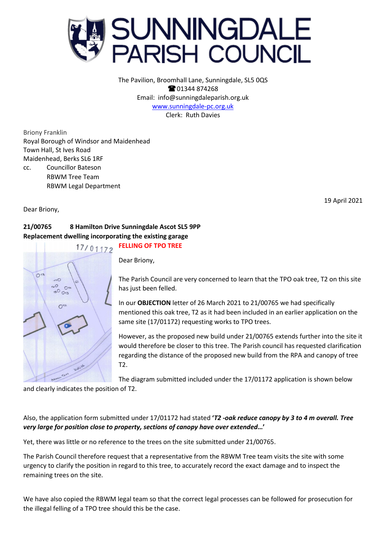

The Pavilion, Broomhall Lane, Sunningdale, SL5 0QS **@01344874268** Email: info@sunningdaleparish.org.uk [www.sunningdale-pc.org.uk](http://www.sunningdale-pc.org.uk/) Clerk: Ruth Davies

Briony Franklin Royal Borough of Windsor and Maidenhead Town Hall, St Ives Road Maidenhead, Berks SL6 1RF cc. Councillor Bateson RBWM Tree Team RBWM Legal Department

Dear Briony,

19 April 2021

## **21/00765 8 Hamilton Drive Sunningdale Ascot SL5 9PP Replacement dwelling incorporating the existing garage FELLING OF TPO TREE**



Dear Briony,

The Parish Council are very concerned to learn that the TPO oak tree, T2 on this site has just been felled.

In our **OBJECTION** letter of 26 March 2021 to 21/00765 we had specifically mentioned this oak tree, T2 as it had been included in an earlier application on the same site (17/01172) requesting works to TPO trees.

However, as the proposed new build under 21/00765 extends further into the site it would therefore be closer to this tree. The Parish council has requested clarification regarding the distance of the proposed new build from the RPA and canopy of tree T2.

The diagram submitted included under the 17/01172 application is shown below

and clearly indicates the position of T2.

## Also, the application form submitted under 17/01172 had stated **'***T2 -oak reduce canopy by 3 to 4 m overall. Tree very large for position close to property, sections of canopy have over extended***…'**

Yet, there was little or no reference to the trees on the site submitted under 21/00765.

The Parish Council therefore request that a representative from the RBWM Tree team visits the site with some urgency to clarify the position in regard to this tree, to accurately record the exact damage and to inspect the remaining trees on the site.

We have also copied the RBWM legal team so that the correct legal processes can be followed for prosecution for the illegal felling of a TPO tree should this be the case.